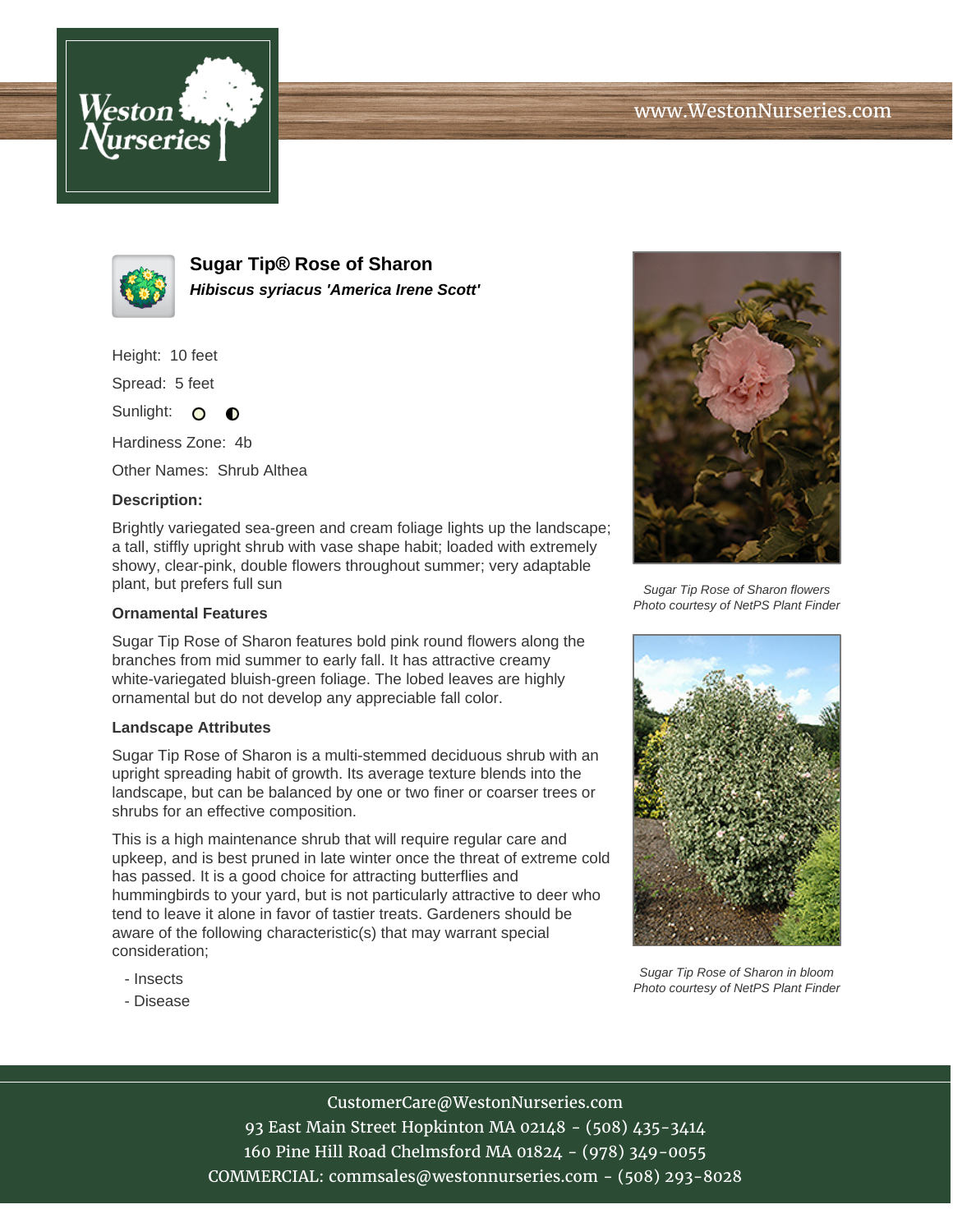



**Sugar Tip® Rose of Sharon Hibiscus syriacus 'America Irene Scott'**

Height: 10 feet

Spread: 5 feet

Sunlight: O  $\bullet$ 

Hardiness Zone: 4b

Other Names: Shrub Althea

## **Description:**

Brightly variegated sea-green and cream foliage lights up the landscape; a tall, stiffly upright shrub with vase shape habit; loaded with extremely showy, clear-pink, double flowers throughout summer; very adaptable plant, but prefers full sun

## **Ornamental Features**

Sugar Tip Rose of Sharon features bold pink round flowers along the branches from mid summer to early fall. It has attractive creamy white-variegated bluish-green foliage. The lobed leaves are highly ornamental but do not develop any appreciable fall color.

## **Landscape Attributes**

Sugar Tip Rose of Sharon is a multi-stemmed deciduous shrub with an upright spreading habit of growth. Its average texture blends into the landscape, but can be balanced by one or two finer or coarser trees or shrubs for an effective composition.

This is a high maintenance shrub that will require regular care and upkeep, and is best pruned in late winter once the threat of extreme cold has passed. It is a good choice for attracting butterflies and hummingbirds to your yard, but is not particularly attractive to deer who tend to leave it alone in favor of tastier treats. Gardeners should be aware of the following characteristic(s) that may warrant special consideration;

- Insects
- Disease



Sugar Tip Rose of Sharon flowers Photo courtesy of NetPS Plant Finder



Sugar Tip Rose of Sharon in bloom Photo courtesy of NetPS Plant Finder

CustomerCare@WestonNurseries.com

93 East Main Street Hopkinton MA 02148 - (508) 435-3414 160 Pine Hill Road Chelmsford MA 01824 - (978) 349-0055 COMMERCIAL: commsales@westonnurseries.com - (508) 293-8028